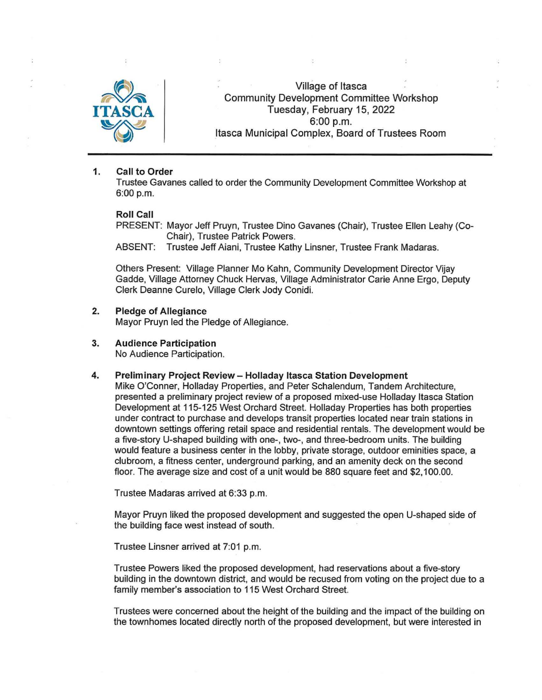

Village of Itasca Community Development Committee Workshop Tuesday, February 15, 2022 6:00 p.m. Itasca Municipal Complex, Board of Trustees Room

## 1. Call to Order

Trustee Gavanes called to order the Community Development Committee Workshop at 6:00 p.m.

### Roll Call

PRESENT: Mayor Jeff Pruyn, Trustee Dino Gavanes (Chair), Trustee Ellen Leahy (Co-Chair), Trustee Patrick Powers.

ABSENT: Trustee Jeff Aiani, Trustee Kathy Linsner, Trustee Frank Madaras.

Others Present: Village Planner Mo Kahn, Community Development Director Vijay Gadde, Village Attorney Chuck Hervas, Village Administrator Carie Anne Ergo, Deputy Clerk Deanne Curelo, Village Clerk Jody Conidi.

## 2. Pledge of Allegiance

Mayor Pruyn led the Pledge of Allegiance.

3. Audience Participation

No Audience Participation.

### 4. Preliminary Project Review- Holladay Itasca Station Development

Mike O'Conner, Holladay Properties, and Peter Schalendum, Tandem Architecture, presented a preliminary project review of a proposed mixed-use Holladay Itasca Station Development at 115-125 West Orchard Street. Holladay Properties has both properties under contract to purchase and develops transit properties located near train stations in downtown settings offering retail space and residential rentals. The development would be a five-story U-shaped building with one-, two-, and three-bedroom units. The building would feature a business center in the lobby, private storage, outdoor eminities space, a clubroom, a fitness center, underground parking, and an amenity deck on the second floor. The average size and cost of a unit would be 880 square feet and \$2, 100.00.

Trustee Madaras arrived at 6:33 p.m.

Mayor Pruyn liked the proposed development and suggested the open U-shaped side of the building face west instead of south.

Trustee Linsner arrived at 7:01 p.m.

Trustee Powers liked the proposed development, had reservations about a five-story building in the downtown district, and would be recused from voting on the project due to a family member's association to 115 West Orchard Street.

Trustees were concerned about the height of the building and the impact of the building on the town homes located directly north of the proposed development, but were interested in